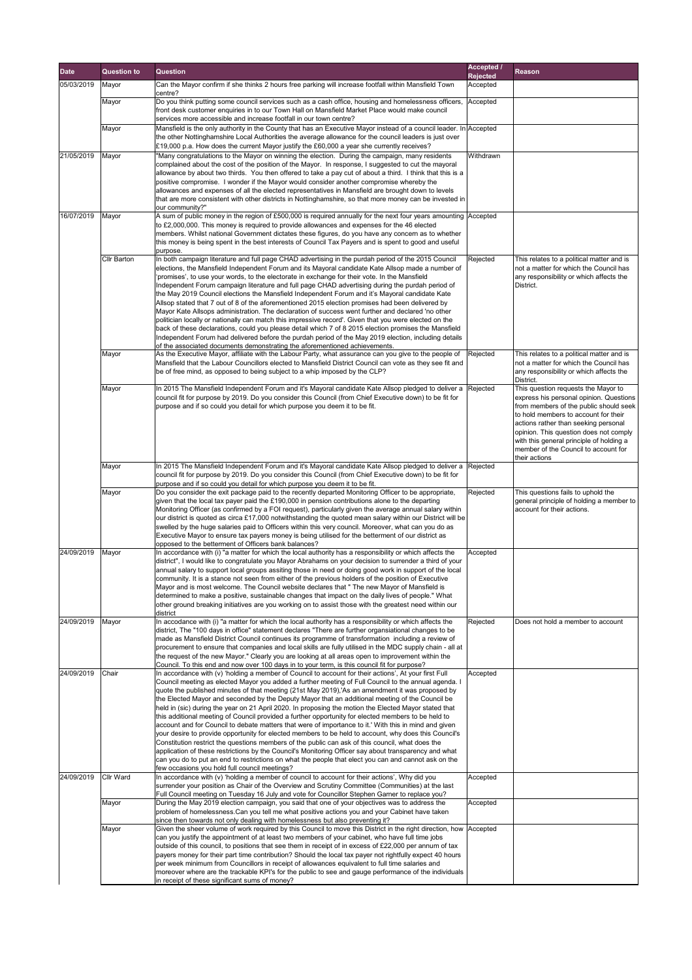| <b>Date</b> | <b>Question to</b> | <b>Question</b>                                                                                                                                                                                                                                                                                                                       | <b>Accepted /</b>           | <b>Reason</b>                                                                       |
|-------------|--------------------|---------------------------------------------------------------------------------------------------------------------------------------------------------------------------------------------------------------------------------------------------------------------------------------------------------------------------------------|-----------------------------|-------------------------------------------------------------------------------------|
| 05/03/2019  | Mayor              | Can the Mayor confirm if she thinks 2 hours free parking will increase footfall within Mansfield Town                                                                                                                                                                                                                                 | <b>Rejected</b><br>Accepted |                                                                                     |
|             | Mayor              | centre?<br>Do you think putting some council services such as a cash office, housing and homelessness officers,<br>front desk customer enquiries in to our Town Hall on Mansfield Market Place would make council                                                                                                                     | Accepted                    |                                                                                     |
|             |                    | services more accessible and increase footfall in our town centre?                                                                                                                                                                                                                                                                    |                             |                                                                                     |
|             | Mayor              | Mansfield is the only authority in the County that has an Executive Mayor instead of a council leader. In Accepted<br>the other Nottinghamshire Local Authorities the average allowance for the council leaders is just over<br>$\mathsf{E}19,000$ p.a. How does the current Mayor justify the £60,000 a year she currently receives? |                             |                                                                                     |
| 21/05/2019  | Mayor              | "Many congratulations to the Mayor on winning the election. During the campaign, many residents<br>complained about the cost of the position of the Mayor. In response, I suggested to cut the mayoral                                                                                                                                | Withdrawn                   |                                                                                     |
|             |                    | allowance by about two thirds. You then offered to take a pay cut of about a third. I think that this is a                                                                                                                                                                                                                            |                             |                                                                                     |
|             |                    | positive compromise. I wonder if the Mayor would consider another compromise whereby the<br>allowances and expenses of all the elected representatives in Mansfield are brought down to levels                                                                                                                                        |                             |                                                                                     |
|             |                    | that are more consistent with other districts in Nottinghamshire, so that more money can be invested in                                                                                                                                                                                                                               |                             |                                                                                     |
| 16/07/2019  | Mayor              | our community?"<br>A sum of public money in the region of £500,000 is required annually for the next four years amounting $ $ Accepted                                                                                                                                                                                                |                             |                                                                                     |
|             |                    | to £2,000,000. This money is required to provide allowances and expenses for the 46 elected                                                                                                                                                                                                                                           |                             |                                                                                     |
|             |                    | members. Whilst national Government dictates these figures, do you have any concern as to whether<br>this money is being spent in the best interests of Council Tax Payers and is spent to good and useful                                                                                                                            |                             |                                                                                     |
|             | <b>Cllr Barton</b> | purpose.                                                                                                                                                                                                                                                                                                                              | Rejected                    | This relates to a political matter and is                                           |
|             |                    | In both campaign literature and full page CHAD advertising in the purdah period of the 2015 Council<br>elections, the Mansfield Independent Forum and its Mayoral candidate Kate Allsop made a number of                                                                                                                              |                             | not a matter for which the Council has                                              |
|             |                    | 'promises', to use your words, to the electorate in exchange for their vote. In the Mansfield<br>Independent Forum campaign literature and full page CHAD advertising during the purdah period of                                                                                                                                     |                             | any responsibility or which affects the<br>District.                                |
|             |                    | the May 2019 Council elections the Mansfield Independent Forum and it's Mayoral candidate Kate                                                                                                                                                                                                                                        |                             |                                                                                     |
|             |                    | Allsop stated that 7 out of 8 of the aforementioned 2015 election promises had been delivered by<br>Mayor Kate Allsops administration. The declaration of success went further and declared 'no other                                                                                                                                 |                             |                                                                                     |
|             |                    | politician locally or nationally can match this impressive record'. Given that you were elected on the                                                                                                                                                                                                                                |                             |                                                                                     |
|             |                    | back of these declarations, could you please detail which 7 of 8 2015 election promises the Mansfield<br>Independent Forum had delivered before the purdah period of the May 2019 election, including details                                                                                                                         |                             |                                                                                     |
|             |                    | of the associated documents demonstrating the aforementioned achievements.                                                                                                                                                                                                                                                            |                             |                                                                                     |
|             | Mayor              | As the Executive Mayor, affiliate with the Labour Party, what assurance can you give to the people of<br>Mansfield that the Labour Councillors elected to Mansfield District Council can vote as they see fit and                                                                                                                     | Rejected                    | This relates to a political matter and is<br>not a matter for which the Council has |
|             |                    | be of free mind, as opposed to being subject to a whip imposed by the CLP?                                                                                                                                                                                                                                                            |                             | any responsibility or which affects the<br>District.                                |
|             | Mayor              | In 2015 The Mansfield Independent Forum and it's Mayoral candidate Kate Allsop pledged to deliver a<br>council fit for purpose by 2019. Do you consider this Council (from Chief Executive down) to be fit for                                                                                                                        | Rejected                    | This question requests the Mayor to<br>express his personal opinion. Questions      |
|             |                    | purpose and if so could you detail for which purpose you deem it to be fit.                                                                                                                                                                                                                                                           |                             | from members of the public should seek                                              |
|             |                    |                                                                                                                                                                                                                                                                                                                                       |                             | to hold members to account for their<br>actions rather than seeking personal        |
|             |                    |                                                                                                                                                                                                                                                                                                                                       |                             | opinion. This question does not comply                                              |
|             |                    |                                                                                                                                                                                                                                                                                                                                       |                             | with this general principle of holding a<br>member of the Council to account for    |
|             | Mayor              | In 2015 The Mansfield Independent Forum and it's Mayoral candidate Kate Allsop pledged to deliver a                                                                                                                                                                                                                                   | Rejected                    | their actions                                                                       |
|             |                    | council fit for purpose by 2019. Do you consider this Council (from Chief Executive down) to be fit for<br>purpose and if so could you detail for which purpose you deem it to be fit.                                                                                                                                                |                             |                                                                                     |
|             | Mayor              | Do you consider the exit package paid to the recently departed Monitoring Officer to be appropriate,<br>given that the local tax payer paid the £190,000 in pension contributions alone to the departing                                                                                                                              | Rejected                    | This questions fails to uphold the<br>general principle of holding a member to      |
|             |                    | Monitoring Officer (as confirmed by a FOI request), particularly given the average annual salary within<br>our district is quoted as circa £17,000 notwithstanding the quoted mean salary within our District will be                                                                                                                 |                             | account for their actions.                                                          |
|             |                    | swelled by the huge salaries paid to Officers within this very council. Moreover, what can you do as                                                                                                                                                                                                                                  |                             |                                                                                     |
|             |                    | Executive Mayor to ensure tax payers money is being utilised for the betterment of our district as<br>opposed to the betterment of Officers bank balances?                                                                                                                                                                            |                             |                                                                                     |
| 24/09/2019  | Mayor              | In accordance with (i) "a matter for which the local authority has a responsibility or which affects the<br>district", I would like to congratulate you Mayor Abrahams on your decision to surrender a third of your                                                                                                                  | Accepted                    |                                                                                     |
|             |                    | annual salary to support local groups assiting those in need or doing good work in support of the local                                                                                                                                                                                                                               |                             |                                                                                     |
|             |                    | community. It is a stance not seen from either of the previous holders of the position of Executive<br>Mayor and is most welcome. The Council website declares that " The new Mayor of Mansfield is                                                                                                                                   |                             |                                                                                     |
|             |                    | determined to make a positive, sustainable changes that impact on the daily lives of people." What                                                                                                                                                                                                                                    |                             |                                                                                     |
|             |                    | other ground breaking initiatives are you working on to assist those with the greatest need within our<br>district                                                                                                                                                                                                                    |                             |                                                                                     |
| 24/09/2019  | Mayor              | In accodance with (i) "a matter for which the local authority has a responsibility or which affects the                                                                                                                                                                                                                               | Rejected                    | Does not hold a member to account                                                   |
|             |                    | district, The "100 days in office" statement declares "There are further organsiational changes to be<br>made as Mansfield District Council continues its programme of transformation including a review of                                                                                                                           |                             |                                                                                     |
|             |                    | procurement to ensure that companies and local skills are fully utilised in the MDC supply chain - all at<br>the request of the new Mayor." Clearly you are looking at all areas open to improvement within the                                                                                                                       |                             |                                                                                     |
|             |                    | Council. To this end and now over 100 days in to your term, is this council fit for purpose?                                                                                                                                                                                                                                          |                             |                                                                                     |
| 24/09/2019  | Chair              | In accordance with (v) 'holding a member of Council to account for their actions', At your first Full<br>Council meeting as elected Mayor you added a further meeting of Full Council to the annual agenda. I                                                                                                                         | Accepted                    |                                                                                     |
|             |                    | quote the published minutes of that meeting (21st May 2019), As an amendment it was proposed by                                                                                                                                                                                                                                       |                             |                                                                                     |
|             |                    | the Elected Mayor and seconded by the Deputy Mayor that an additional meeting of the Council be<br>held in (sic) during the year on 21 April 2020. In proposing the motion the Elected Mayor stated that                                                                                                                              |                             |                                                                                     |
|             |                    | this additional meeting of Council provided a further opportunity for elected members to be held to                                                                                                                                                                                                                                   |                             |                                                                                     |
|             |                    | account and for Council to debate matters that were of importance to it.' With this in mind and given<br>your desire to provide opportunity for elected members to be held to account, why does this Council's                                                                                                                        |                             |                                                                                     |
|             |                    | Constitution restrict the questions members of the public can ask of this council, what does the<br>application of these restrictions by the Council's Monitoring Officer say about transparency and what                                                                                                                             |                             |                                                                                     |
|             |                    | can you do to put an end to restrictions on what the people that elect you can and cannot ask on the                                                                                                                                                                                                                                  |                             |                                                                                     |
| 24/09/2019  | <b>Cllr Ward</b>   | few occasions you hold full council meetings?<br>In accordance with (v) 'holding a member of council to account for their actions', Why did you                                                                                                                                                                                       | Accepted                    |                                                                                     |
|             |                    | surrender your position as Chair of the Overview and Scrutiny Committee (Communities) at the last<br>Full Council meeting on Tuesday 16 July and vote for Councillor Stephen Garner to replace you?                                                                                                                                   |                             |                                                                                     |
|             | Mayor              | During the May 2019 election campaign, you said that one of your objectives was to address the<br>problem of homelessness.Can you tell me what positive actions you and your Cabinet have taken<br>since then towards not only dealing with homelessness but also preventing it?                                                      | Accepted                    |                                                                                     |
|             | Mayor              | Given the sheer volume of work required by this Council to move this District in the right direction, how Accepted                                                                                                                                                                                                                    |                             |                                                                                     |
|             |                    | can you justify the appointment of at least two members of your cabinet, who have full time jobs<br>outside of this council, to positions that see them in receipt of in excess of £22,000 per annum of tax                                                                                                                           |                             |                                                                                     |
|             |                    | payers money for their part time contribution? Should the local tax payer not rightfully expect 40 hours<br>per week minimum from Councillors in receipt of allowances equivalent to full time salaries and                                                                                                                           |                             |                                                                                     |
|             |                    | moreover where are the trackable KPI's for the public to see and gauge performance of the individuals                                                                                                                                                                                                                                 |                             |                                                                                     |
|             |                    | in receipt of these significant sums of money?                                                                                                                                                                                                                                                                                        |                             |                                                                                     |